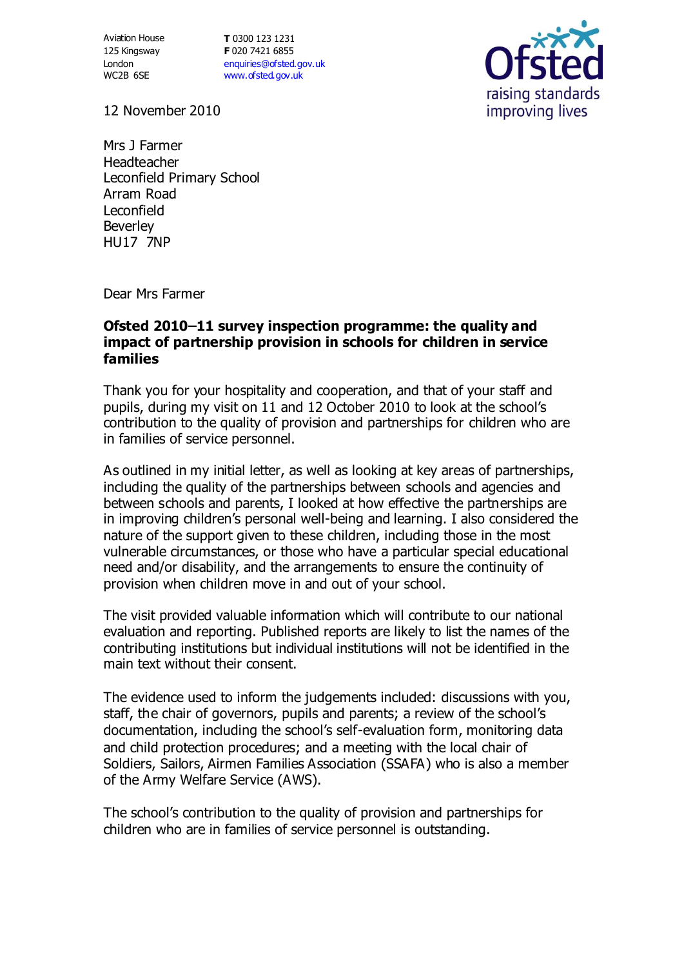Aviation House 125 Kingsway London WC2B 6SE

**T** 0300 123 1231 **F** 020 7421 6855 [enquiries@ofsted.gov.uk](mailto:enquiries@ofsted.gov.uk) [www.ofsted.gov.uk](http://www.ofsted.gov.uk/)



12 November 2010

Mrs J Farmer Headteacher Leconfield Primary School Arram Road Leconfield **Beverley** HU17 7NP

Dear Mrs Farmer

## **Ofsted 2010–11 survey inspection programme: the quality and impact of partnership provision in schools for children in service families**

Thank you for your hospitality and cooperation, and that of your staff and pupils, during my visit on 11 and 12 October 2010 to look at the school's contribution to the quality of provision and partnerships for children who are in families of service personnel.

As outlined in my initial letter, as well as looking at key areas of partnerships, including the quality of the partnerships between schools and agencies and between schools and parents, I looked at how effective the partnerships are in improving children's personal well-being and learning. I also considered the nature of the support given to these children, including those in the most vulnerable circumstances, or those who have a particular special educational need and/or disability, and the arrangements to ensure the continuity of provision when children move in and out of your school.

The visit provided valuable information which will contribute to our national evaluation and reporting. Published reports are likely to list the names of the contributing institutions but individual institutions will not be identified in the main text without their consent.

The evidence used to inform the judgements included: discussions with you, staff, the chair of governors, pupils and parents; a review of the school's documentation, including the school's self-evaluation form, monitoring data and child protection procedures; and a meeting with the local chair of Soldiers, Sailors, Airmen Families Association (SSAFA) who is also a member of the Army Welfare Service (AWS).

The school's contribution to the quality of provision and partnerships for children who are in families of service personnel is outstanding.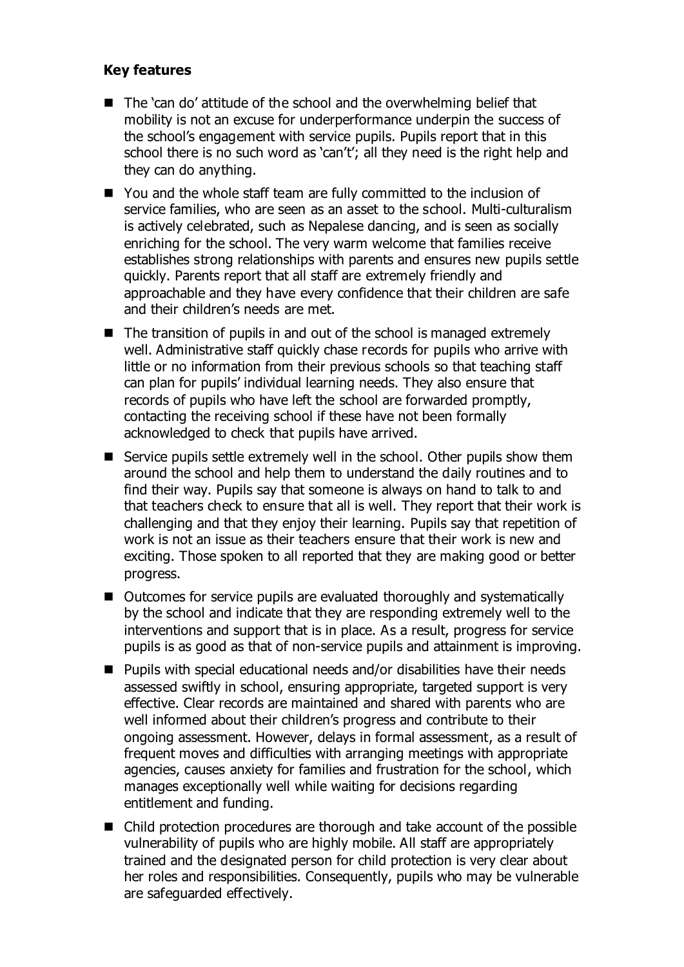## **Key features**

- The 'can do' attitude of the school and the overwhelming belief that mobility is not an excuse for underperformance underpin the success of the school's engagement with service pupils. Pupils report that in this school there is no such word as 'can't'; all they need is the right help and they can do anything.
- You and the whole staff team are fully committed to the inclusion of service families, who are seen as an asset to the school. Multi-culturalism is actively celebrated, such as Nepalese dancing, and is seen as socially enriching for the school. The very warm welcome that families receive establishes strong relationships with parents and ensures new pupils settle quickly. Parents report that all staff are extremely friendly and approachable and they have every confidence that their children are safe and their children's needs are met.
- $\blacksquare$  The transition of pupils in and out of the school is managed extremely well. Administrative staff quickly chase records for pupils who arrive with little or no information from their previous schools so that teaching staff can plan for pupils' individual learning needs. They also ensure that records of pupils who have left the school are forwarded promptly, contacting the receiving school if these have not been formally acknowledged to check that pupils have arrived.
- Service pupils settle extremely well in the school. Other pupils show them around the school and help them to understand the daily routines and to find their way. Pupils say that someone is always on hand to talk to and that teachers check to ensure that all is well. They report that their work is challenging and that they enjoy their learning. Pupils say that repetition of work is not an issue as their teachers ensure that their work is new and exciting. Those spoken to all reported that they are making good or better progress.
- Outcomes for service pupils are evaluated thoroughly and systematically by the school and indicate that they are responding extremely well to the interventions and support that is in place. As a result, progress for service pupils is as good as that of non-service pupils and attainment is improving.
- Pupils with special educational needs and/or disabilities have their needs assessed swiftly in school, ensuring appropriate, targeted support is very effective. Clear records are maintained and shared with parents who are well informed about their children's progress and contribute to their ongoing assessment. However, delays in formal assessment, as a result of frequent moves and difficulties with arranging meetings with appropriate agencies, causes anxiety for families and frustration for the school, which manages exceptionally well while waiting for decisions regarding entitlement and funding.
- Child protection procedures are thorough and take account of the possible vulnerability of pupils who are highly mobile. All staff are appropriately trained and the designated person for child protection is very clear about her roles and responsibilities. Consequently, pupils who may be vulnerable are safeguarded effectively.